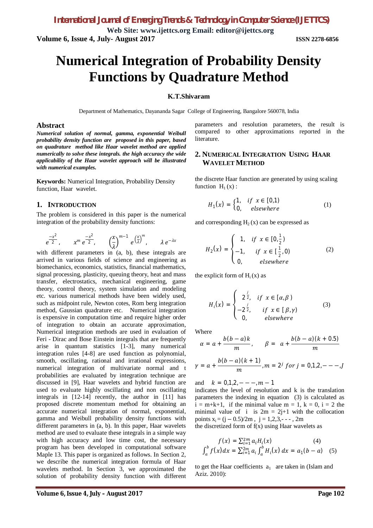**Web Site: www.ijettcs.org Email: editor@ijettcs.org Volume 6, Issue 4, July- August 2017 ISSN 2278-6856**

# **Numerical Integration of Probability Density Functions by Quadrature Method**

#### **K.T.Shivaram**

Department of Mathematics, Dayananda Sagar College of Engineering, Bangalore 560078, India

#### **Abstract**

*Numerical solution of normal, gamma, exponential Weibull probability density function are proposed in this paper, based on quadrature method like Haar wavelet method are applied numerically to solve these integrals. the high accuracy the wide applicability of the Haar wavelet approach will be illustrated with numerical examples.*

**Keywords:** Numerical Integration, Probability Density function, Haar wavelet.

## **1. INTRODUCTION**

The problem is considered in this paper is the numerical integration of the probability density functions:

$$
e^{\frac{-x^2}{2}}, \qquad x^m e^{\frac{-x^2}{2}}, \qquad \left(\frac{x}{\lambda}\right)^{m-1} e^{\left(\frac{x}{\lambda}\right)^m}, \qquad \lambda e^{-\lambda x}
$$

with different parameters in (a, b), these integrals are arrived in various fields of science and engineering as biomechanics, economics, statistics, financial mathematics, signal processing, plasticity, queuing theory, heat and mass transfer, electrostatics, mechanical engineering, game theory, control theory, system simulation and modeling etc. various numerical methods have been widely used, such as midpoint rule, Newton cotes, Rom berg integration method, Gaussian quadrature etc. Numerical integration is expensive in computation time and require higher order of integration to obtain an accurate approximation, Numerical integration methods are used in evaluation of Feri - Dirac and Bose Einstein integrals that are frequently arise in quantum statistics [1-3], many numerical integration rules [4-8] are used function as polynomial, smooth, oscillating, rational and irrational expressions, numerical integration of multivariate normal and t probabilities are evaluated by integration technique are discussed in [9], Haar wavelets and hybrid function are used to evaluate highly oscillating and non oscillating integrals in [12-14] recently, the author in [11] has proposed discrete momentum method for obtaining an accurate numerical integration of normal, exponential, gamma and Weibull probability density functions with different parameters in (a, b). In this paper, Haar wavelets method are used to evaluate these integrals in a simple way with high accuracy and low time cost, the necessary program has been developed in computational software Maple 13. This paper is organized as follows. In Section 2, we describe the numerical integration formula of Haar wavelets method. In Section 3, we approximated the solution of probability density function with different

parameters and resolution parameters, the result is compared to other approximations reported in the literature.

## **2. NUMERICAL INTEGRATION USING HAAR WAVELET METHOD**

the discrete Haar function are generated by using scaling function  $H_1(x)$ :

$$
H_1(x) = \begin{cases} 1, & if \ x \in [0,1) \\ 0, & elsewhere \end{cases}
$$
 (1)

and corresponding  $H_2(x)$  can be expressed as

$$
H_2(x) = \begin{cases} 1, & \text{if } x \in [0, \frac{1}{2}) \\ -1, & \text{if } x \in [\frac{1}{2}, 0) \\ 0, & \text{elsewhere} \end{cases}
$$
 (2)

the explicit form of  $H_i(x)$  as

$$
H_i(x) = \begin{cases} 2^{\frac{j}{2}}, & if \ x \in [\alpha, \beta) \\ -2^{\frac{j}{2}}, & if \ x \in [\beta, \gamma) \\ 0, & elsewhere \end{cases}
$$
 (3)

Where

$$
\alpha = a + \frac{b(b-a)k}{m}, \qquad \beta = a + \frac{b(b-a)(k+0.5)}{m}
$$

$$
\gamma = a + \frac{b(b-a)(k+1)}{m}, m = 2^{j} \text{ for } j = 0, 1, 2, -3, -1
$$

and  $k = 0.1, 2, - - -$ ,  $m - 1$ 

indicates the level of resolution and k is the translation parameters the indexing in equation (3) is calculated as  $i = m+k+1$ , if the minimal value  $m = 1$ ,  $k = 0$ ,  $i = 2$  the minimal value of i is  $2m = 2j+1$  with the collocation points  $x_i = (j - 0.5)/2m$ ,  $j = 1,2,3,--.2m$ the discretized form of  $f(x)$  using Haar wavelets as

$$
f(x) = \sum_{i=1}^{2m} a_i H_i(x)
$$
 (4)  

$$
\int_a^b f(x) dx = \sum_{i=1}^{2m} a_i \int_a^b H_i(x) dx = a_1(b-a)
$$
 (5)

to get the Haar coefficients  $a_1$  are taken in (Islam and Aziz. 2010):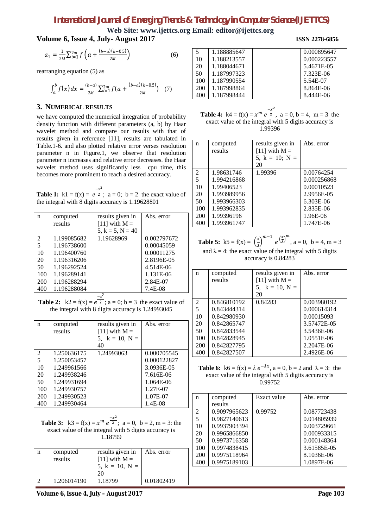## *International Journal of Emerging Trends & Technology in Computer Science (IJETTCS)*

1.187998864 1.187998444

**Web Site: www.ijettcs.org Email: editor@ijettcs.org**

## **Volume 6, Issue 4, July- August 2017 ISSN 2278-6856**

$$
a_1 = \frac{1}{2M} \sum_{i=1}^{2m} f\left(a + \frac{(b-a)(k-0.5)}{2M}\right) \tag{6}
$$

rearranging equation (5) as

$$
\int_{a}^{b} f(x)dx = \frac{(b-a)}{2M} \sum_{i=1}^{2m} f(a + \frac{(b-a)(k-0.5)}{2M}) \quad (7)
$$

#### **3. NUMERICAL RESULTS**

we have computed the numerical integration of probability density function with different parameters (a, b) by Haar wavelet method and compare our results with that of results given in reference [11], results are tabulated in Table.1-6. and also plotted relative error verses resolution parameter n in Figure.1, we observe that resolution parameter n increases and relative error decreases. the Haar wavelet method uses significantly less cpu time, this becomes more prominent to reach a desired accuracy.

**Table 1:**  $k1 = f(x) = e^{\frac{-x^2}{2}}$  $\overline{2}$ ; a = 0; b = 2 the exact value of the integral with 8 digits accuracy is 1.19628801

| n   | computed    | results given in   | Abs. error  |
|-----|-------------|--------------------|-------------|
|     | results     | [11] with $M =$    |             |
|     |             | $5, k = 5, N = 40$ |             |
| 2   | 1.199085682 | 1.19628969         | 0.002797672 |
| 5   | 1.196738600 |                    | 0.00045059  |
| 10  | 1.196400760 |                    | 0.00011275  |
| 20  | 1.196316206 |                    | 2.8196E-05  |
| 50  | 1.196292524 |                    | 4.514E-06   |
| 100 | 1.196289141 |                    | 1.131E-06   |
| 200 | 1.196288294 |                    | 2.84E-07    |
| 400 | 1.196288084 |                    | 7.4E-08     |
|     |             | $\mathcal{L}$      |             |

**Table 2:**  $k2 = f(x) = e^{\frac{-x^2}{2}}$  $\overline{2}$ ; a = 0; b = 3 the exact value of the integral with 8 digits accuracy is 1.24993045

| n   | computed    | results given in    | Abs. error  |
|-----|-------------|---------------------|-------------|
|     | results     | [11] with $M =$     |             |
|     |             | 5, $k = 10$ , $N =$ |             |
|     |             | 40                  |             |
| 2   | 1.250636175 | 1.24993063          | 0.000705545 |
| 5   | 1.250053457 |                     | 0.000122827 |
| 10  | 1.249961566 |                     | 3.0936E-05  |
| 20  | 1.249938246 |                     | 7.616E-06   |
| 50  | 1.249931694 |                     | 1.064E-06   |
| 100 | 1.249930757 |                     | 1.27E-07    |
| 200 | 1.249930523 |                     | 1.07E-07    |
| 400 | 1.249930464 |                     | 1.4E-08     |

**Table 3:**  $k3 = f(x) = x^m e^{\frac{-x^2}{2}}$  $\overline{a}$ ;  $a = 0$ ,  $b = 2$ ,  $m = 3$ : the exact value of the integral with 5 digits accuracy is 1.18799

| n | computed<br>results | results given in<br>[11] with $M =$<br>5, $k = 10$ , $N =$<br>20 | Abs. error |
|---|---------------------|------------------------------------------------------------------|------------|
|   | 1.206014190         | 1.18799                                                          | 0.01802419 |

| 1.188885647 | 0.000895647 |
|-------------|-------------|
| 1.188213557 | 0.000223557 |
| 1.188044671 | 5.4671E-05  |
| 1.187997323 | 7.323E-06   |
| 1.187990554 | 5.54E-07    |

**Table 4:**  $k4 = f(x) = x^m e^{\frac{-x^2}{2}}$  $\overline{a}$ ,  $a = 0, b = 4, m = 3$  the exact value of the integral with 5 digits accuracy is 1.99396

| n   | computed    | results given in    | Abs. error  |
|-----|-------------|---------------------|-------------|
|     | results     | [11] with $M =$     |             |
|     |             | 5, $k = 10$ ; $N =$ |             |
|     |             | 20                  |             |
| 2   | 1.98631746  | 1.99396             | 0.00764254  |
| 5   | 1.994216868 |                     | 0.000256868 |
| 10  | 1.99406523  |                     | 0.00010523  |
| 20  | 1.993989956 |                     | 2.9956E-05  |
| 50  | 1.993966303 |                     | 6.303E-06   |
| 100 | 1.993962835 |                     | 2.835E-06   |
| 200 | 1.99396196  |                     | 1.96E-06    |
| 400 | 1.993961747 |                     | 1.747E-06   |

**Table 5:**  $k5 = f(x) = \frac{x}{2}$  $\left(\frac{x}{\lambda}\right)^{m-1}e^{\left(\frac{x}{\lambda}\right)^m}$ ,  $a = 0$ ,  $b = 4$ ,  $m = 3$ and  $\lambda = 4$ : the exact value of the integral with 5 digits accuracy is 0.84283

| n   | computed    | results given in    | Abs. error  |
|-----|-------------|---------------------|-------------|
|     | results     | $[11]$ with M =     |             |
|     |             | 5, $k = 10$ , $N =$ |             |
|     |             | 20                  |             |
| 2   | 0.846810192 | 0.84283             | 0.003980192 |
| 5   | 0.843444314 |                     | 0.000614314 |
| 10  | 0.842980930 |                     | 0.00015093  |
| 20  | 0.842865747 |                     | 3.57472E-05 |
| 50  | 0.842833544 |                     | 3.5436E-06  |
| 100 | 0.842828945 |                     | 1.0551E-06  |
| 200 | 0.842827795 |                     | 2.2047E-06  |
| 400 | 0.842827507 |                     | 2.4926E-06  |

**Table 6:**  $k6 = f(x) = \lambda e^{-\lambda x}$ ,  $a = 0$ ,  $b = 2$  and  $\lambda = 3$ : the exact value of the integral with 5 digits accuracy is 0.99752

| n              | computed     | Exact value | Abs. error  |
|----------------|--------------|-------------|-------------|
|                | results      |             |             |
| $\mathfrak{D}$ | 0.9097965623 | 0.99752     | 0.087723438 |
| 5              | 0.9827140613 |             | 0.014805939 |
| 10             | 0.9937903394 |             | 0.003729661 |
| 20             | 0.9965866850 |             | 0.000933315 |
| 50             | 0.9973716358 |             | 0.000148364 |
| 100            | 0.9974838415 |             | 3.61585E-05 |
| 200            | 0.9975118964 |             | 8.1036E-06  |
| 400            | 0.9975189103 |             | 1.0897E-06  |

8.864E-06 8.444E-06